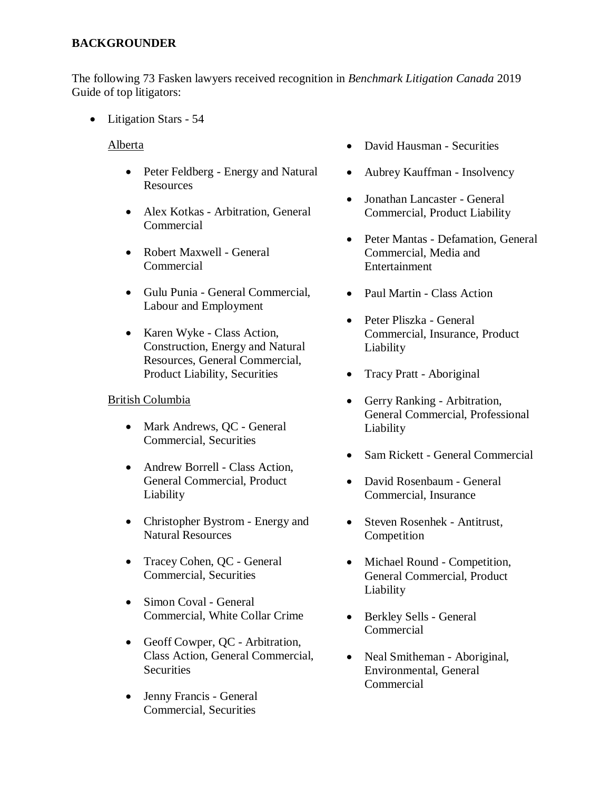## **BACKGROUNDER**

The following 73 Fasken lawyers received recognition in *Benchmark Litigation Canada* 2019 Guide of top litigators:

• Litigation Stars - 54

Alberta

- Peter Feldberg Energy and Natural Resources
- Alex Kotkas Arbitration, General Commercial
- Robert Maxwell General Commercial
- Gulu Punia General Commercial, Labour and Employment
- Karen Wyke Class Action, Construction, Energy and Natural Resources, General Commercial, Product Liability, Securities

## British Columbia

- Mark Andrews, QC General Commercial, Securities
- Andrew Borrell Class Action, General Commercial, Product Liability
- Christopher Bystrom Energy and Natural Resources
- Tracey Cohen, QC General Commercial, Securities
- Simon Coval General Commercial, White Collar Crime
- Geoff Cowper, QC Arbitration, Class Action, General Commercial, **Securities**
- Jenny Francis General Commercial, Securities
- David Hausman Securities
- Aubrey Kauffman Insolvency
- Jonathan Lancaster General Commercial, Product Liability
- Peter Mantas Defamation, General Commercial, Media and Entertainment
- Paul Martin Class Action
- Peter Pliszka General Commercial, Insurance, Product Liability
- Tracy Pratt Aboriginal
- Gerry Ranking Arbitration, General Commercial, Professional Liability
- Sam Rickett General Commercial
- David Rosenbaum General Commercial, Insurance
- Steven Rosenhek Antitrust, Competition
- Michael Round Competition, General Commercial, Product Liability
- Berkley Sells General Commercial
- Neal Smitheman Aboriginal, Environmental, General Commercial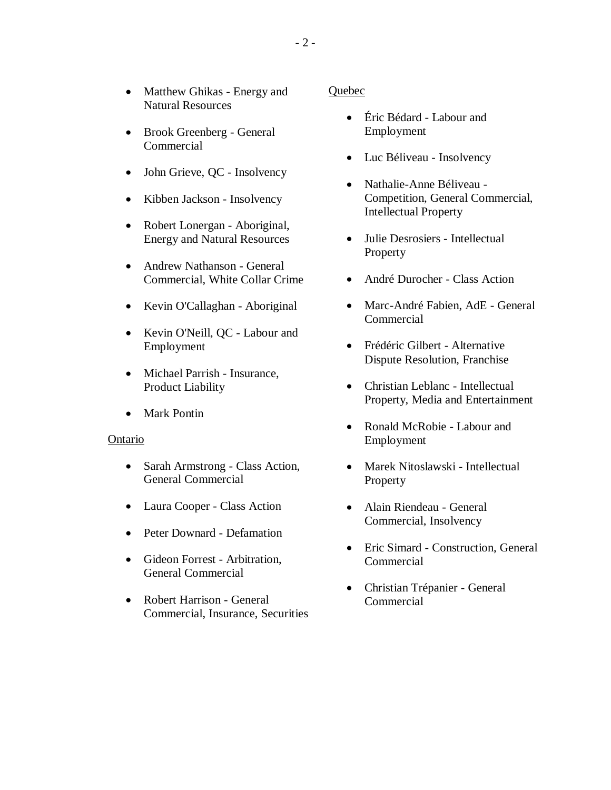- Matthew Ghikas Energy and Natural Resources
- Brook Greenberg General Commercial
- John Grieve, QC Insolvency
- Kibben Jackson Insolvency
- Robert Lonergan Aboriginal, Energy and Natural Resources
- Andrew Nathanson General Commercial, White Collar Crime
- Kevin O'Callaghan Aboriginal
- Kevin O'Neill, QC Labour and Employment
- Michael Parrish Insurance, Product Liability
- Mark Pontin

## Ontario

- Sarah Armstrong Class Action, General Commercial
- Laura Cooper Class Action
- Peter Downard Defamation
- Gideon Forrest Arbitration, General Commercial
- Robert Harrison General Commercial, Insurance, Securities

## Quebec

- Éric Bédard Labour and Employment
- Luc Béliveau Insolvency
- Nathalie-Anne Béliveau -Competition, General Commercial, Intellectual Property
- Julie Desrosiers Intellectual Property
- André Durocher Class Action
- Marc-André Fabien, AdE General Commercial
- Frédéric Gilbert Alternative Dispute Resolution, Franchise
- Christian Leblanc Intellectual Property, Media and Entertainment
- Ronald McRobie Labour and Employment
- Marek Nitoslawski Intellectual Property
- Alain Riendeau General Commercial, Insolvency
- Eric Simard Construction, General Commercial
- Christian Trépanier General Commercial